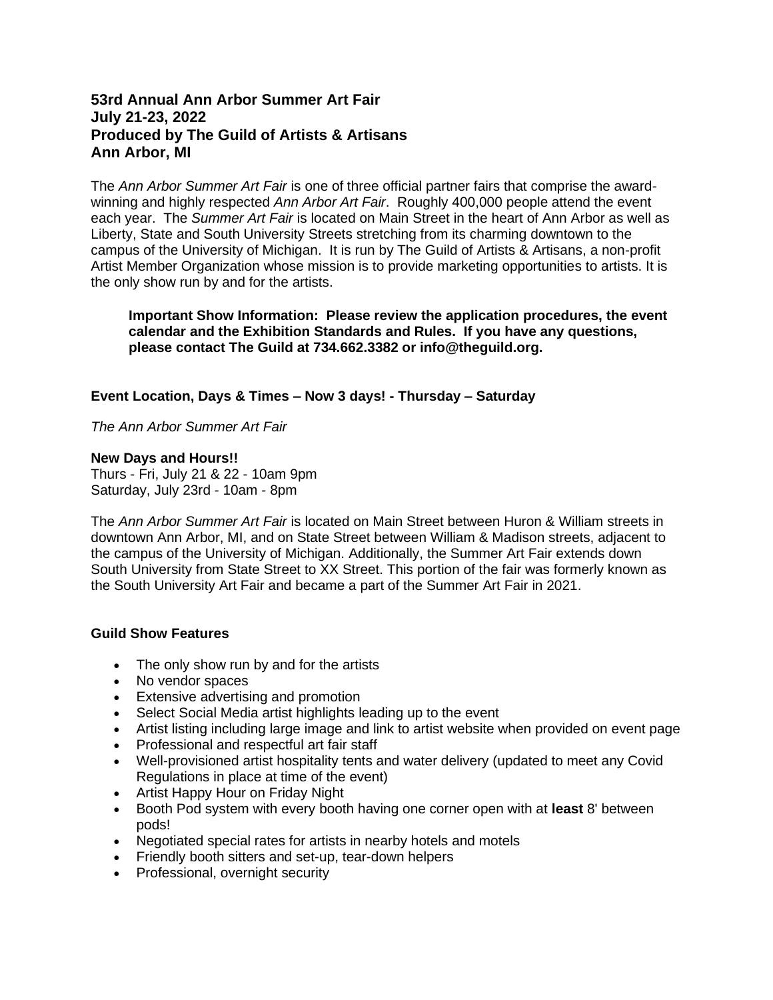## **53rd Annual Ann Arbor Summer Art Fair July 21-23, 2022 Produced by The Guild of Artists & Artisans Ann Arbor, MI**

The *Ann Arbor Summer Art Fair* is one of three official partner fairs that comprise the awardwinning and highly respected *Ann Arbor Art Fair*. Roughly 400,000 people attend the event each year. The *Summer Art Fair* is located on Main Street in the heart of Ann Arbor as well as Liberty, State and South University Streets stretching from its charming downtown to the campus of the University of Michigan. It is run by The Guild of Artists & Artisans, a non-profit Artist Member Organization whose mission is to provide marketing opportunities to artists. It is the only show run by and for the artists.

**Important Show Information: Please review the application procedures, the event calendar and the Exhibition Standards and Rules. If you have any questions, please contact The Guild at 734.662.3382 or info@theguild.org.**

## **Event Location, Days & Times – Now 3 days! - Thursday – Saturday**

*The Ann Arbor Summer Art Fair*

**New Days and Hours!!** Thurs - Fri, July 21 & 22 - 10am 9pm Saturday, July 23rd - 10am - 8pm

The *Ann Arbor Summer Art Fair* is located on Main Street between Huron & William streets in downtown Ann Arbor, MI, and on State Street between William & Madison streets, adjacent to the campus of the University of Michigan. Additionally, the Summer Art Fair extends down South University from State Street to XX Street. This portion of the fair was formerly known as the South University Art Fair and became a part of the Summer Art Fair in 2021.

## **Guild Show Features**

- The only show run by and for the artists
- No vendor spaces
- Extensive advertising and promotion
- Select Social Media artist highlights leading up to the event
- Artist listing including large image and link to artist website when provided on event page
- Professional and respectful art fair staff
- Well-provisioned artist hospitality tents and water delivery (updated to meet any Covid Regulations in place at time of the event)
- Artist Happy Hour on Friday Night
- Booth Pod system with every booth having one corner open with at **least** 8' between pods!
- Negotiated special rates for artists in nearby hotels and motels
- Friendly booth sitters and set-up, tear-down helpers
- Professional, overnight security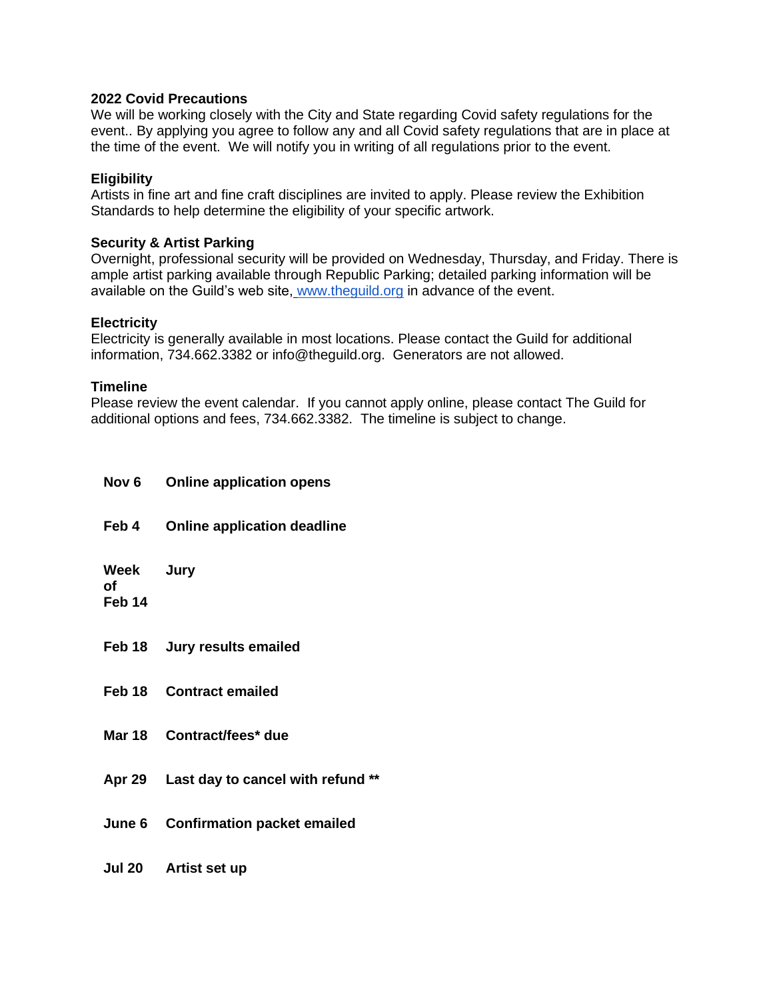#### **2022 Covid Precautions**

We will be working closely with the City and State regarding Covid safety regulations for the event.. By applying you agree to follow any and all Covid safety regulations that are in place at the time of the event. We will notify you in writing of all regulations prior to the event.

## **Eligibility**

Artists in fine art and fine craft disciplines are invited to apply. Please review the Exhibition Standards to help determine the eligibility of your specific artwork.

### **Security & Artist Parking**

Overnight, professional security will be provided on Wednesday, Thursday, and Friday. There is ample artist parking available through Republic Parking; detailed parking information will be available on the Guild's web site, [www.theguild.org](http://www.theguild.org/) in advance of the event.

#### **Electricity**

Electricity is generally available in most locations. Please contact the Guild for additional information, 734.662.3382 or info@theguild.org. Generators are not allowed.

#### **Timeline**

Please review the event calendar. If you cannot apply online, please contact The Guild for additional options and fees, 734.662.3382. The timeline is subject to change.

| Nov 6                                | <b>Online application opens</b>    |
|--------------------------------------|------------------------------------|
| Feb 4                                | <b>Online application deadline</b> |
| Week Jury<br>оf<br>Feb <sub>14</sub> |                                    |
|                                      | Feb 18 Jury results emailed        |
|                                      | <b>Feb 18 Contract emailed</b>     |
|                                      | Mar 18 Contract/fees* due          |
| Apr 29                               | Last day to cancel with refund     |
| <b>June 6</b>                        | <b>Confirmation packet emailed</b> |
| <b>Jul 20</b>                        | Artist set up                      |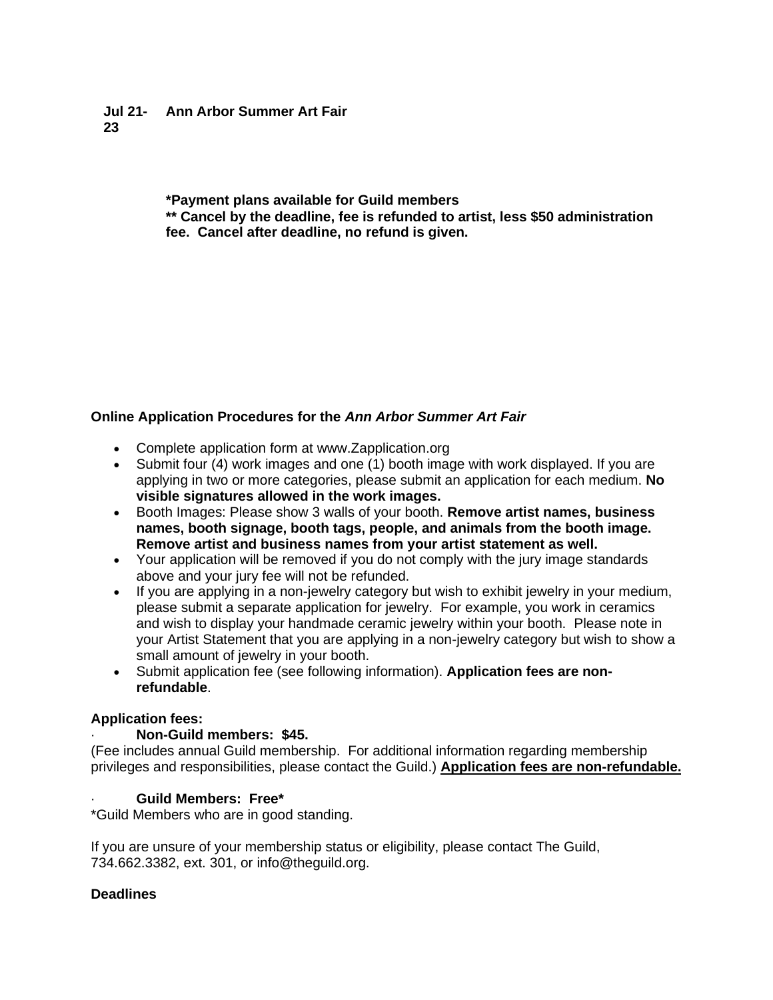#### **Jul 21- Ann Arbor Summer Art Fair 23**

**\*Payment plans available for Guild members**

**\*\* Cancel by the deadline, fee is refunded to artist, less \$50 administration fee. Cancel after deadline, no refund is given.**

# **Online Application Procedures for the** *Ann Arbor Summer Art Fair*

- Complete application form at www.Zapplication.org
- Submit four (4) work images and one (1) booth image with work displayed. If you are applying in two or more categories, please submit an application for each medium. **No visible signatures allowed in the work images.**
- Booth Images: Please show 3 walls of your booth. **Remove artist names, business names, booth signage, booth tags, people, and animals from the booth image. Remove artist and business names from your artist statement as well.**
- Your application will be removed if you do not comply with the jury image standards above and your jury fee will not be refunded.
- If you are applying in a non-jewelry category but wish to exhibit jewelry in your medium, please submit a separate application for jewelry. For example, you work in ceramics and wish to display your handmade ceramic jewelry within your booth. Please note in your Artist Statement that you are applying in a non-jewelry category but wish to show a small amount of jewelry in your booth.
- Submit application fee (see following information). **Application fees are nonrefundable**.

# **Application fees:**

# · **Non-Guild members: \$45.**

(Fee includes annual Guild membership. For additional information regarding membership privileges and responsibilities, please contact the Guild.) **Application fees are non-refundable.**

# · **Guild Members: Free\***

\*Guild Members who are in good standing.

If you are unsure of your membership status or eligibility, please contact The Guild, 734.662.3382, ext. 301, or info@theguild.org.

# **Deadlines**